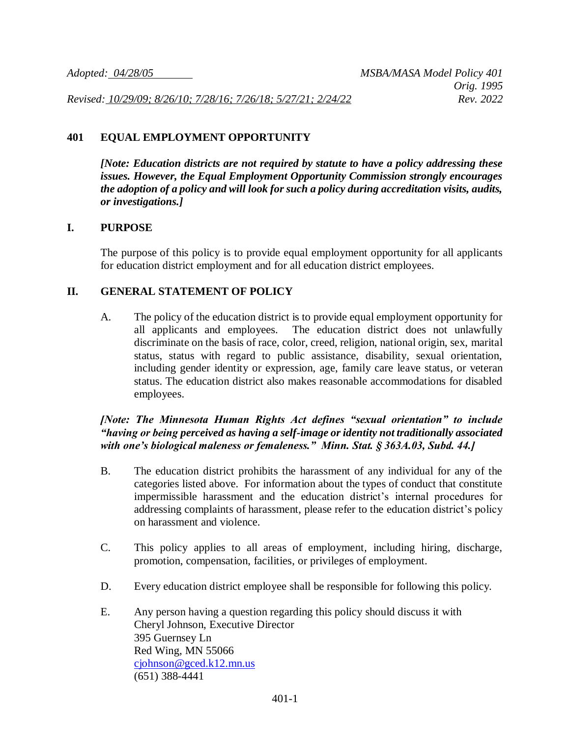*Revised: 10/29/09; 8/26/10; 7/28/16; 7/26/18; 5/27/21; 2/24/22 Rev. 2022*

## **401 EQUAL EMPLOYMENT OPPORTUNITY**

*[Note: Education districts are not required by statute to have a policy addressing these issues. However, the Equal Employment Opportunity Commission strongly encourages the adoption of a policy and will look for such a policy during accreditation visits, audits, or investigations.]*

## **I. PURPOSE**

The purpose of this policy is to provide equal employment opportunity for all applicants for education district employment and for all education district employees.

## **II. GENERAL STATEMENT OF POLICY**

A. The policy of the education district is to provide equal employment opportunity for all applicants and employees. The education district does not unlawfully discriminate on the basis of race, color, creed, religion, national origin, sex, marital status, status with regard to public assistance, disability, sexual orientation, including gender identity or expression, age, family care leave status, or veteran status. The education district also makes reasonable accommodations for disabled employees.

## *[Note: The Minnesota Human Rights Act defines "sexual orientation" to include "having or being perceived as having a self-image or identity not traditionally associated with one's biological maleness or femaleness." Minn. Stat. § 363A.03, Subd. 44.]*

- B. The education district prohibits the harassment of any individual for any of the categories listed above. For information about the types of conduct that constitute impermissible harassment and the education district's internal procedures for addressing complaints of harassment, please refer to the education district's policy on harassment and violence.
- C. This policy applies to all areas of employment, including hiring, discharge, promotion, compensation, facilities, or privileges of employment.
- D. Every education district employee shall be responsible for following this policy.
- E. Any person having a question regarding this policy should discuss it with Cheryl Johnson, Executive Director 395 Guernsey Ln Red Wing, MN 55066 [cjohnson@gced.k12.mn.us](mailto:cjohnson@gced.k12.mn.us) (651) 388-4441